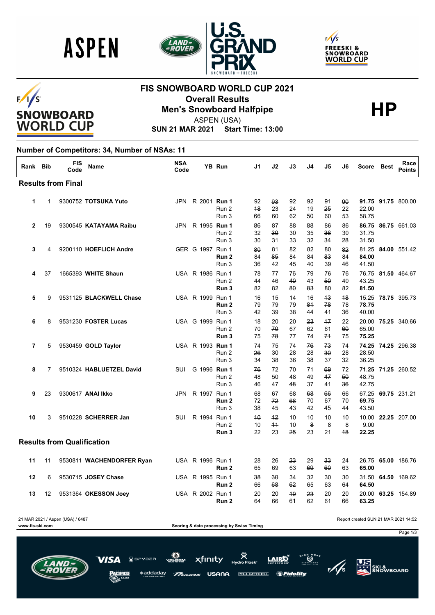





# $F/I/S$ SNOWBOARD<br>WORLD CUP

## **FIS SNOWBOARD WORLD CUP 2021 Overall Results<br>Men's Snowboard Halfpipe**<br>ASPEN(USA)



ASPEN (USA)

**SUN 21 MAR 2021 Start Time: 13:00**

#### **Number of Competitors: 34, Number of NSAs: 11**

| Rank Bib     |    | <b>FIS</b><br>Code                | Name                      | <b>NSA</b><br>Code |                     | <b>YB Run</b>             | J1             | J <sub>2</sub> | J3             | J4             | J5                       | J6             | <b>Score</b>            | <b>Best</b> | Race<br><b>Points</b> |
|--------------|----|-----------------------------------|---------------------------|--------------------|---------------------|---------------------------|----------------|----------------|----------------|----------------|--------------------------|----------------|-------------------------|-------------|-----------------------|
|              |    | <b>Results from Final</b>         |                           |                    |                     |                           |                |                |                |                |                          |                |                         |             |                       |
| 1            | 1  |                                   | 9300752 TOTSUKA Yuto      | <b>JPN</b>         | R 2001 Run 1        | Run 2<br>Run 3            | 92<br>48<br>66 | 93<br>23<br>60 | 92<br>24<br>62 | 92<br>19<br>50 | 91<br>25<br>60           | 90<br>22<br>53 | 22.00<br>58.75          |             | 91.75 91.75 800.00    |
| $\mathbf{2}$ | 19 |                                   | 9300545 KATAYAMA Raibu    | JPN                | R 1995 <b>Run 1</b> | Run 2<br>Run 3            | 86<br>32<br>30 | 87<br>30<br>31 | 88<br>30<br>33 | 88<br>35<br>32 | 86<br>36<br>34           | 86<br>30<br>28 | 31.75<br>31.50          |             | 86.75 86.75 661.03    |
| 3            | 4  |                                   | 9200110 HOEFLICH Andre    |                    | GER G 1997 Run 1    | Run 2<br>Run 3            | 80<br>84<br>36 | 81<br>85<br>42 | 82<br>84<br>45 | 82<br>84<br>40 | 80<br>83<br>39           | 82<br>84<br>46 | 84.00<br>41.50          |             | 81.25 84.00 551.42    |
| 4            | 37 |                                   | 1665393 WHITE Shaun       |                    | USA R 1986 Run 1    | Run 2<br>Run 3            | 78<br>44<br>82 | 77<br>46<br>82 | 76<br>40<br>80 | 79<br>43<br>83 | 76<br>50<br>80           | 76<br>40<br>82 | 43.25<br>81.50          |             | 76.75 81.50 464.67    |
| 5            | 9  |                                   | 9531125 BLACKWELL Chase   |                    | USA R 1999 Run 1    | Run <sub>2</sub><br>Run 3 | 16<br>79<br>42 | 15<br>79<br>39 | 14<br>79<br>38 | 16<br>81<br>44 | 43<br>78<br>41           | 48<br>78<br>36 | 78.75<br>40.00          |             | 15.25 78.75 395.73    |
| 6            | 8  |                                   | 9531230 FOSTER Lucas      |                    | USA G 1999 Run 1    | Run 2<br>Run <sub>3</sub> | 18<br>70<br>75 | 20<br>70<br>78 | 20<br>67<br>77 | 23<br>62<br>74 | $+7$<br>61<br>74         | 22<br>60<br>75 | 65.00<br>75.25          |             | 20.00 75.25 340.66    |
| 7            | 5  |                                   | 9530459 GOLD Taylor       |                    | USA R 1993 Run 1    | Run 2<br>Run 3            | 74<br>26<br>34 | 75<br>30<br>38 | 74<br>28<br>36 | 76<br>28<br>38 | 73<br>$30^{\circ}$<br>37 | 74<br>28<br>32 | 28.50<br>36.25          |             | 74.25 74.25 296.38    |
| 8            | 7  |                                   | 9510324 HABLUETZEL David  | <b>SUI</b>         | G 1996 Run 1        | Run 2<br>Run 3            | 76<br>48<br>46 | 72<br>50<br>47 | 70<br>48<br>48 | 71<br>49<br>37 | 69<br>47<br>41           | 72<br>50<br>36 | 48.75<br>42.75          |             | 71.25 71.25 260.52    |
| 9            | 23 |                                   | 9300617 ANAI Ikko         | JPN                | R 1997 Run 1        | Run <sub>2</sub><br>Run 3 | 68<br>72<br>38 | 67<br>72<br>45 | 68<br>66<br>43 | 68<br>70<br>42 | 66<br>67<br>45           | 66<br>70<br>44 | 67.25<br>69.75<br>43.50 |             | 69.75 231.21          |
| 10           | 3  |                                   | 9510228 SCHERRER Jan      | <b>SUI</b>         | R 1994 Run 1        | Run 2<br>Run 3            | 40<br>10<br>22 | 42<br>44<br>23 | 10<br>10<br>25 | 10<br>8<br>23  | 10<br>8<br>21            | 10<br>8<br>48  | 10.00<br>9.00<br>22.25  |             | 22.25 207.00          |
|              |    | <b>Results from Qualification</b> |                           |                    |                     |                           |                |                |                |                |                          |                |                         |             |                       |
| 11           | 11 |                                   | 9530811 WACHENDORFER Ryan |                    | USA R 1996 Run 1    | Run 2                     | 28<br>65       | 26<br>69       | 23<br>63       | 29<br>69       | 33<br>60                 | 24<br>63       | 26.75<br>65.00          |             | 65.00 186.76          |
| 12           | 6  |                                   | 9530715 JOSEY Chase       |                    | USA R 1995 Run 1    | Run <sub>2</sub>          | 38<br>66       | 30<br>68       | 34<br>62       | 32<br>65       | 30<br>63                 | 30<br>64       | 31.50<br>64.50          |             | 64.50 169.62          |
| 13           | 12 |                                   | 9531364 OKESSON Joey      |                    | USA R 2002 Run 1    | Run <sub>2</sub>          | 20<br>64       | 20<br>66       | 49<br>64       | 23<br>62       | 20<br>61                 | 20<br>66       | 20.00<br>63.25          |             | 63.25 154.89          |



PAUL MITCHELL.

*SFidelity* 

USANA

\*addaday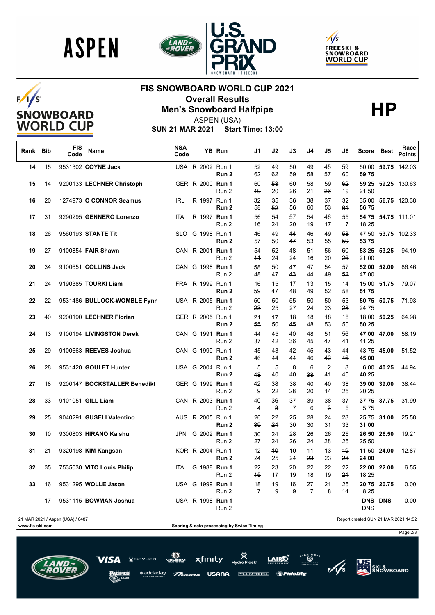

 $F/I/S$ 

SNOWBOARD<br>WORLD CUP





## **FIS SNOWBOARD WORLD CUP 2021 Overall Results<br>Men's Snowboard Halfpipe**<br>ASPEN(USA)



ASPEN (USA)

**SUN 21 MAR 2021 Start Time: 13:00**

| Rank Bib        |    | <b>FIS</b><br>Code               | Name                         | <b>NSA</b><br>Code |                  | YB Run         | J1                                        | J2            | J3                   | J4                   | J5       | J6            | Score                                | <b>Best</b> | Race<br>Points     |
|-----------------|----|----------------------------------|------------------------------|--------------------|------------------|----------------|-------------------------------------------|---------------|----------------------|----------------------|----------|---------------|--------------------------------------|-------------|--------------------|
| 14              | 15 |                                  | 9531302 COYNE Jack           |                    | USA R 2002 Run 1 | Run 2          | 52<br>62                                  | 49<br>62      | 50<br>59             | 49<br>58             | 45<br>57 | 59<br>60      | 59.75                                |             | 50.00 59.75 142.03 |
| 15              | 14 |                                  | 9200133 LECHNER Christoph    |                    | GER R 2000 Run 1 | Run 2          | 60<br>49                                  | 58<br>20      | 60<br>26             | 58<br>21             | 59<br>26 | 62<br>19      | 21.50                                |             | 59.25 59.25 130.63 |
| 16              | 20 |                                  | 1274973 O CONNOR Seamus      | IRL                | R 1997 Run 1     | Run 2          | 32<br>58                                  | 35<br>52      | 36<br>56             | 38<br>60             | 37<br>53 | 32<br>61      | 56.75                                |             | 35.00 56.75 120.38 |
| 17              | 31 |                                  | 9290295 GENNERO Lorenzo      | <b>ITA</b>         | R 1997 Run 1     | Run 2          | 56<br>46                                  | 54<br>24      | 57<br>20             | 54<br>19             | 46<br>17 | 55<br>17      | 18.25                                |             | 54.75 54.75 111.01 |
| 18              | 26 |                                  | 9560193 STANTE Tit           |                    | SLO G 1998 Run 1 | Run 2          | 46<br>57                                  | 49<br>50      | 44<br>47             | 46<br>53             | 49<br>55 | 58<br>59      | 53.75                                |             | 47.50 53.75 102.33 |
| 19              | 27 |                                  | 9100854 FAIR Shawn           |                    | CAN R 2001 Run 1 | Run 2          | 54<br>$+4$                                | 52<br>24      | 48<br>24             | 51<br>16             | 56<br>20 | 60<br>26      | 21.00                                | 53.25 53.25 | 94.19              |
| 20              | 34 |                                  | 9100651 COLLINS Jack         |                    | CAN G 1998 Run 1 | Run 2          | 58<br>48                                  | 50<br>47      | 47<br>43             | 47<br>44             | 54<br>49 | 57<br>52      | 52.00<br>47.00                       | 52.00       | 86.46              |
| 21              | 24 |                                  | 9190385 TOURKI Liam          |                    | FRA R 1999 Run 1 | Run 2          | 16<br>59                                  | 15<br>47      | $+7$<br>48           | 43<br>49             | 15<br>52 | 14<br>58      | 51.75                                | 15.00 51.75 | 79.07              |
| 22              | 22 |                                  | 9531486 BULLOCK-WOMBLE Fynn  |                    | USA R 2005 Run 1 | Run 2          | 50<br>23                                  | 50<br>25      | 55<br>27             | 50<br>24             | 50<br>23 | 53<br>28      | 24.75                                | 50.75 50.75 | 71.93              |
| 23              | 40 |                                  | 9200190 LECHNER Florian      |                    | GER R 2005 Run 1 | Run 2          | 24<br>55                                  | $+7$<br>50    | 18<br>45             | 18<br>48             | 18<br>53 | 18<br>50      | 50.25                                | 18.00 50.25 | 64.98              |
| 24              | 13 |                                  | 9100194 LIVINGSTON Derek     |                    | CAN G 1991 Run 1 | Run 2          | 44<br>37                                  | 45<br>42      | 40<br>36             | 48<br>45             | 51<br>47 | 56<br>41      | 41.25                                | 47.00 47.00 | 58.19              |
| 25              | 29 |                                  | 9100663 REEVES Joshua        |                    | CAN G 1999 Run 1 |                | 45<br>46                                  | 43            | 42                   | 45<br>46             | 43<br>42 | 44            | 45.00                                | 43.75 45.00 | 51.52              |
| 26              | 28 |                                  | 9531420 GOULET Hunter        |                    | USA G 2004 Run 1 | Run 2          | 5<br>48                                   | 44<br>5<br>40 | 44<br>8<br>40        | 6<br>38              | 2<br>41  | 46<br>8<br>40 | 40.25                                | 6.00 40.25  | 44.94              |
| 27              | 18 |                                  | 9200147 BOCKSTALLER Benedikt |                    | GER G 1999 Run 1 | Run 2<br>Run 2 | 42<br>9                                   | 38<br>22      | 38<br>28             | 40<br>20             | 40<br>14 | 38<br>25      | 20.25                                | 39.00 39.00 | 38.44              |
| 28              | 33 |                                  | 9101051 GILL Liam            |                    | CAN R 2003 Run 1 | Run 2          | 40<br>4                                   | 36<br>8       | 37<br>$\overline{7}$ | 39<br>6              | 38<br>3  | 37<br>6       | 5.75                                 | 37.75 37.75 | 31.99              |
| 29              | 25 |                                  | 9040291 GUSELI Valentino     |                    | AUS R 2005 Run 1 | Run 2          | 26<br>39                                  | 22<br>24      | 25<br>30             | 28<br>30             | 24<br>31 | 28<br>33      | 31.00                                | 25.75 31.00 | 25.58              |
| 30              | 10 |                                  | 9300803 HIRANO Kaishu        |                    | JPN G 2002 Run 1 | Run 2          | 30<br>27                                  | 24<br>24      | 28<br>26             | 26<br>24             | 26<br>28 | 26<br>25      | 26.50<br>25.50                       | 26.50       | 19.21              |
| 31              | 21 |                                  | 9320198 KIM Kangsan          |                    | KOR R 2004 Run 1 | Run 2          | 12<br>24                                  | 40<br>25      | 10<br>24             | 11<br>23             | 13<br>23 | 49<br>28      | 24.00                                | 11.50 24.00 | 12.87              |
| 32              | 35 |                                  | 7535030 VITO Louis Philip    | ITA                | G 1988 Run 1     | Run 2          | 22<br>45                                  | 23<br>17      | 20<br>19             | 22<br>18             | 22<br>19 | 22<br>24      | 18.25                                | 22.00 22.00 | 6.55               |
| 33              | 16 |                                  | 9531295 WOLLE Jason          |                    | USA G 1999 Run 1 | Run 2          | 18<br>$\mathcal{F}$                       | 19<br>9       | 46<br>9              | 27<br>$\overline{7}$ | 21<br>8  | 25<br>44      | 20.75 20.75<br>8.25                  |             | 0.00               |
|                 | 17 |                                  | 9531115 BOWMAN Joshua        |                    | USA R 1998 Run 1 | Run 2          |                                           |               |                      |                      |          |               | <b>DNS DNS</b><br><b>DNS</b>         |             | 0.00               |
|                 |    | 21 MAR 2021 / Aspen (USA) / 6487 |                              |                    |                  |                |                                           |               |                      |                      |          |               | Report created SUN 21 MAR 2021 14:52 |             |                    |
| www.fis-ski.com |    |                                  |                              |                    |                  |                | Scoring & data processing by Swiss Timing |               |                      |                      |          |               |                                      |             | Page 2/3           |

xfinity

USANA

**PAULMITCHELL** 

ה=פי $\overline{a}$ 

\*addadav



**US**<br>XXX SKI &<br>SNOWBOARD  $\frac{1}{5}$ 

 $\sum_{n=1}^{\infty}$ 

*SFidelity*